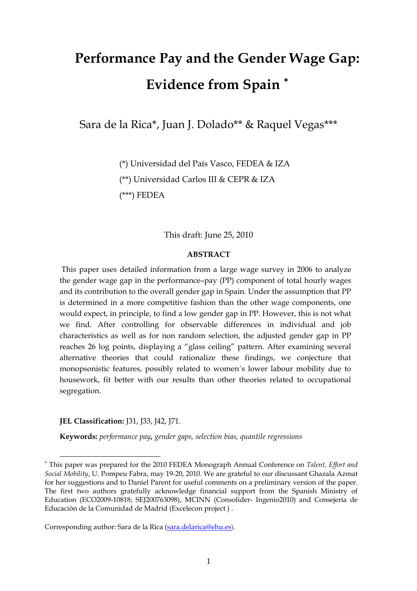# **Performance Pay and the Gender Wage Gap: Evidence from Spain** <sup>∗</sup>

Sara de la Rica\*, Juan J. Dolado\*\* & Raquel Vegas\*\*\*

(\*) Universidad del País Vasco, FEDEA & IZA (\*\*) Universidad Carlos III & CEPR & IZA (\*\*\*) FEDEA

This draft: June 25, 2010

#### **ABSTRACT**

 This paper uses detailed information from a large wage survey in 2006 to analyze the gender wage gap in the performance–pay (PP) component of total hourly wages and its contribution to the overall gender gap in Spain. Under the assumption that PP is determined in a more competitive fashion than the other wage components, one would expect, in principle, to find a low gender gap in PP. However, this is not what we find. After controlling for observable differences in individual and job characteristics as well as for non random selection, the adjusted gender gap in PP reaches 26 log points, displaying a "glass ceiling" pattern. After examining several alternative theories that could rationalize these findings, we conjecture that monopsonistic features, possibly related to women´s lower labour mobility due to housework, fit better with our results than other theories related to occupational segregation.

**JEL Classification:** J31, J33, J42, J71.

 $\overline{a}$ 

**Keywords:** *performance pay, gender gaps, selection bias, quantile regressions*

Corresponding author: Sara de la Rica (sara.delarica@ehu.es).

<sup>∗</sup> This paper was prepared for the 2010 FEDEA Monograph Annual Conference on *Talent, Effort and Social Mobility*, U. Pompeu Fabra, may 19-20, 2010. We are grateful to our discussant Ghazala Azmat for her suggestions and to Daniel Parent for useful comments on a preliminary version of the paper. The first two authors gratefully acknowledge financial support from the Spanish Ministry of Education (ECO2009-10818; SEJ200763098), MCINN (Consolider- Ingenio2010) and Consejería de Educación de la Comunidad de Madrid (Excelecon project ) .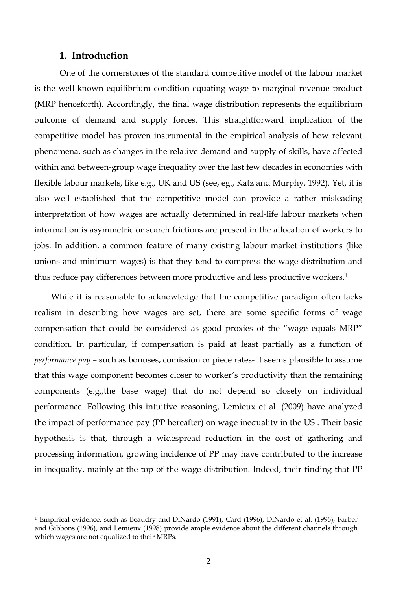#### **1. Introduction**

 $\overline{a}$ 

One of the cornerstones of the standard competitive model of the labour market is the well-known equilibrium condition equating wage to marginal revenue product (MRP henceforth). Accordingly, the final wage distribution represents the equilibrium outcome of demand and supply forces. This straightforward implication of the competitive model has proven instrumental in the empirical analysis of how relevant phenomena, such as changes in the relative demand and supply of skills, have affected within and between-group wage inequality over the last few decades in economies with flexible labour markets, like e.g., UK and US (see, eg., Katz and Murphy, 1992). Yet, it is also well established that the competitive model can provide a rather misleading interpretation of how wages are actually determined in real-life labour markets when information is asymmetric or search frictions are present in the allocation of workers to jobs. In addition, a common feature of many existing labour market institutions (like unions and minimum wages) is that they tend to compress the wage distribution and thus reduce pay differences between more productive and less productive workers.1

While it is reasonable to acknowledge that the competitive paradigm often lacks realism in describing how wages are set, there are some specific forms of wage compensation that could be considered as good proxies of the "wage equals MRP" condition. In particular, if compensation is paid at least partially as a function of *performance pay* – such as bonuses, comission or piece rates- it seems plausible to assume that this wage component becomes closer to worker´s productivity than the remaining components (e.g.,the base wage) that do not depend so closely on individual performance. Following this intuitive reasoning, Lemieux et al. (2009) have analyzed the impact of performance pay (PP hereafter) on wage inequality in the US . Their basic hypothesis is that, through a widespread reduction in the cost of gathering and processing information, growing incidence of PP may have contributed to the increase in inequality, mainly at the top of the wage distribution. Indeed, their finding that PP

<sup>1</sup> Empirical evidence, such as Beaudry and DiNardo (1991), Card (1996), DiNardo et al. (1996), Farber and Gibbons (1996), and Lemieux (1998) provide ample evidence about the different channels through which wages are not equalized to their MRPs.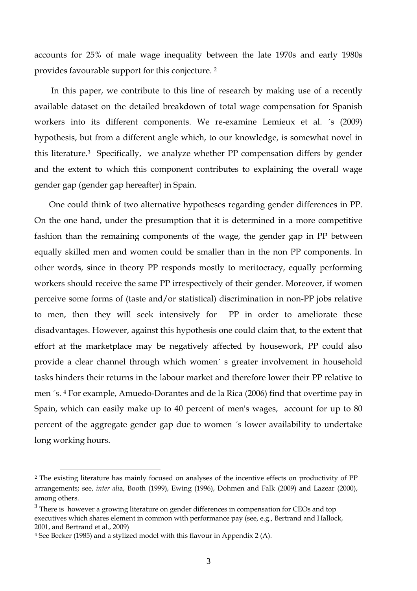accounts for 25% of male wage inequality between the late 1970s and early 1980s provides favourable support for this conjecture. 2

 In this paper, we contribute to this line of research by making use of a recently available dataset on the detailed breakdown of total wage compensation for Spanish workers into its different components. We re-examine Lemieux et al. ´s (2009) hypothesis, but from a different angle which, to our knowledge, is somewhat novel in this literature.3 Specifically, we analyze whether PP compensation differs by gender and the extent to which this component contributes to explaining the overall wage gender gap (gender gap hereafter) in Spain.

 One could think of two alternative hypotheses regarding gender differences in PP. On the one hand, under the presumption that it is determined in a more competitive fashion than the remaining components of the wage, the gender gap in PP between equally skilled men and women could be smaller than in the non PP components. In other words, since in theory PP responds mostly to meritocracy, equally performing workers should receive the same PP irrespectively of their gender. Moreover, if women perceive some forms of (taste and/or statistical) discrimination in non-PP jobs relative to men, then they will seek intensively for PP in order to ameliorate these disadvantages. However, against this hypothesis one could claim that, to the extent that effort at the marketplace may be negatively affected by housework, PP could also provide a clear channel through which women´ s greater involvement in household tasks hinders their returns in the labour market and therefore lower their PP relative to men ´s. 4 For example, Amuedo-Dorantes and de la Rica (2006) find that overtime pay in Spain, which can easily make up to 40 percent of men's wages, account for up to 80 percent of the aggregate gender gap due to women ´s lower availability to undertake long working hours.

 $\overline{a}$ 

<sup>2</sup> The existing literature has mainly focused on analyses of the incentive effects on productivity of PP arrangements; see, *inter ali*a, Booth (1999), Ewing (1996), Dohmen and Falk (2009) and Lazear (2000), among others.

 $3$  There is however a growing literature on gender differences in compensation for CEOs and top executives which shares element in common with performance pay (see, e.g., Bertrand and Hallock, 2001, and Bertrand et al., 2009)

<sup>4</sup> See Becker (1985) and a stylized model with this flavour in Appendix 2 (A).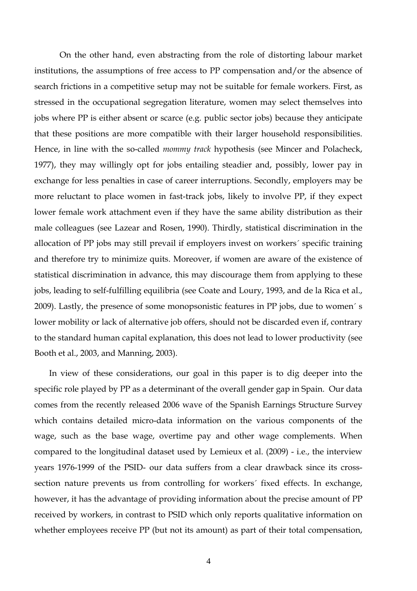On the other hand, even abstracting from the role of distorting labour market institutions, the assumptions of free access to PP compensation and/or the absence of search frictions in a competitive setup may not be suitable for female workers. First, as stressed in the occupational segregation literature, women may select themselves into jobs where PP is either absent or scarce (e.g. public sector jobs) because they anticipate that these positions are more compatible with their larger household responsibilities. Hence, in line with the so-called *mommy track* hypothesis (see Mincer and Polacheck, 1977), they may willingly opt for jobs entailing steadier and, possibly, lower pay in exchange for less penalties in case of career interruptions. Secondly, employers may be more reluctant to place women in fast-track jobs, likely to involve PP, if they expect lower female work attachment even if they have the same ability distribution as their male colleagues (see Lazear and Rosen, 1990). Thirdly, statistical discrimination in the allocation of PP jobs may still prevail if employers invest on workers´ specific training and therefore try to minimize quits. Moreover, if women are aware of the existence of statistical discrimination in advance, this may discourage them from applying to these jobs, leading to self-fulfilling equilibria (see Coate and Loury, 1993, and de la Rica et al., 2009). Lastly, the presence of some monopsonistic features in PP jobs, due to women´ s lower mobility or lack of alternative job offers, should not be discarded even if, contrary to the standard human capital explanation, this does not lead to lower productivity (see Booth et al., 2003, and Manning, 2003).

 In view of these considerations, our goal in this paper is to dig deeper into the specific role played by PP as a determinant of the overall gender gap in Spain. Our data comes from the recently released 2006 wave of the Spanish Earnings Structure Survey which contains detailed micro-data information on the various components of the wage, such as the base wage, overtime pay and other wage complements. When compared to the longitudinal dataset used by Lemieux et al. (2009) - i.e., the interview years 1976-1999 of the PSID- our data suffers from a clear drawback since its crosssection nature prevents us from controlling for workers´ fixed effects. In exchange, however, it has the advantage of providing information about the precise amount of PP received by workers, in contrast to PSID which only reports qualitative information on whether employees receive PP (but not its amount) as part of their total compensation,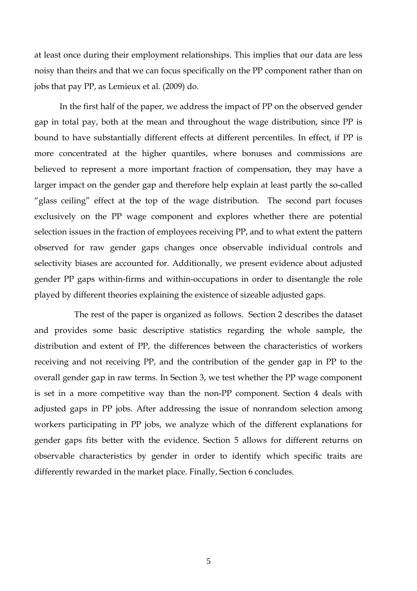at least once during their employment relationships. This implies that our data are less noisy than theirs and that we can focus specifically on the PP component rather than on jobs that pay PP, as Lemieux et al. (2009) do.

In the first half of the paper, we address the impact of PP on the observed gender gap in total pay, both at the mean and throughout the wage distribution, since PP is bound to have substantially different effects at different percentiles. In effect, if PP is more concentrated at the higher quantiles, where bonuses and commissions are believed to represent a more important fraction of compensation, they may have a larger impact on the gender gap and therefore help explain at least partly the so-called "glass ceiling" effect at the top of the wage distribution. The second part focuses exclusively on the PP wage component and explores whether there are potential selection issues in the fraction of employees receiving PP, and to what extent the pattern observed for raw gender gaps changes once observable individual controls and selectivity biases are accounted for. Additionally, we present evidence about adjusted gender PP gaps within-firms and within-occupations in order to disentangle the role played by different theories explaining the existence of sizeable adjusted gaps.

The rest of the paper is organized as follows. Section 2 describes the dataset and provides some basic descriptive statistics regarding the whole sample, the distribution and extent of PP, the differences between the characteristics of workers receiving and not receiving PP, and the contribution of the gender gap in PP to the overall gender gap in raw terms. In Section 3, we test whether the PP wage component is set in a more competitive way than the non-PP component. Section 4 deals with adjusted gaps in PP jobs. After addressing the issue of nonrandom selection among workers participating in PP jobs, we analyze which of the different explanations for gender gaps fits better with the evidence. Section 5 allows for different returns on observable characteristics by gender in order to identify which specific traits are differently rewarded in the market place. Finally, Section 6 concludes.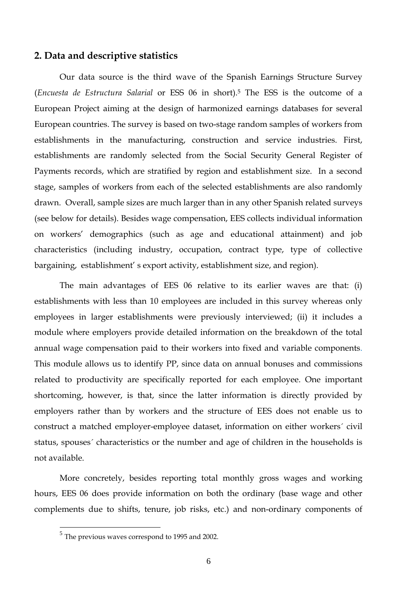#### **2. Data and descriptive statistics**

Our data source is the third wave of the Spanish Earnings Structure Survey (*Encuesta de Estructura Salarial* or ESS 06 in short).5 The ESS is the outcome of a European Project aiming at the design of harmonized earnings databases for several European countries. The survey is based on two-stage random samples of workers from establishments in the manufacturing, construction and service industries. First, establishments are randomly selected from the Social Security General Register of Payments records, which are stratified by region and establishment size. In a second stage, samples of workers from each of the selected establishments are also randomly drawn. Overall, sample sizes are much larger than in any other Spanish related surveys (see below for details). Besides wage compensation, EES collects individual information on workers' demographics (such as age and educational attainment) and job characteristics (including industry, occupation, contract type, type of collective bargaining, establishment' s export activity, establishment size, and region).

The main advantages of EES 06 relative to its earlier waves are that: (i) establishments with less than 10 employees are included in this survey whereas only employees in larger establishments were previously interviewed; (ii) it includes a module where employers provide detailed information on the breakdown of the total annual wage compensation paid to their workers into fixed and variable components. This module allows us to identify PP, since data on annual bonuses and commissions related to productivity are specifically reported for each employee. One important shortcoming, however, is that, since the latter information is directly provided by employers rather than by workers and the structure of EES does not enable us to construct a matched employer-employee dataset, information on either workers´ civil status, spouses´ characteristics or the number and age of children in the households is not available.

More concretely, besides reporting total monthly gross wages and working hours, EES 06 does provide information on both the ordinary (base wage and other complements due to shifts, tenure, job risks, etc.) and non-ordinary components of

 $\overline{a}$ 

<sup>5</sup> The previous waves correspond to 1995 and 2002.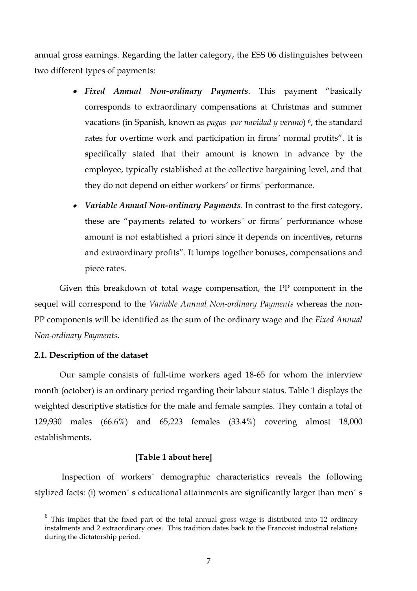annual gross earnings. Regarding the latter category, the ESS 06 distinguishes between two different types of payments:

- *Fixed Annual Non-ordinary Payments*. This payment "basically corresponds to extraordinary compensations at Christmas and summer vacations (in Spanish, known as *pagas por navidad y verano*) 6, the standard rates for overtime work and participation in firms´ normal profits". It is specifically stated that their amount is known in advance by the employee, typically established at the collective bargaining level, and that they do not depend on either workers´ or firms´ performance.
- *Variable Annual Non-ordinary Payments*. In contrast to the first category, these are "payments related to workers´ or firms´ performance whose amount is not established a priori since it depends on incentives, returns and extraordinary profits". It lumps together bonuses, compensations and piece rates.

Given this breakdown of total wage compensation, the PP component in the sequel will correspond to the *Variable Annual Non-ordinary Payments* whereas the non-PP components will be identified as the sum of the ordinary wage and the *Fixed Annual Non-ordinary Payments*.

#### **2.1. Description of the dataset**

Our sample consists of full-time workers aged 18-65 for whom the interview month (october) is an ordinary period regarding their labour status. Table 1 displays the weighted descriptive statistics for the male and female samples. They contain a total of 129,930 males (66.6%) and 65,223 females (33.4%) covering almost 18,000 establishments.

#### **[Table 1 about here]**

Inspection of workers´ demographic characteristics reveals the following stylized facts: (i) women´ s educational attainments are significantly larger than men´ s

 $6$  This implies that the fixed part of the total annual gross wage is distributed into 12 ordinary instalments and 2 extraordinary ones. This tradition dates back to the Francoist industrial relations during the dictatorship period.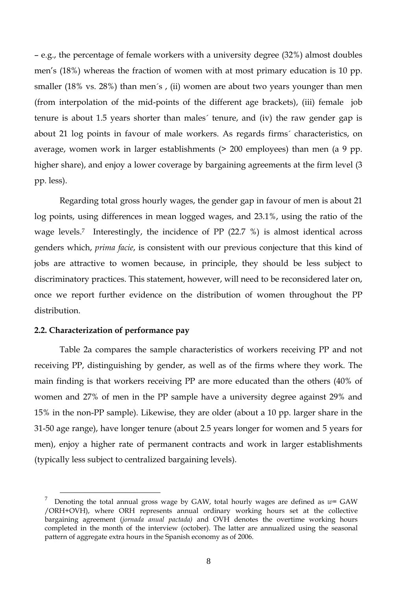– e.g., the percentage of female workers with a university degree (32%) almost doubles men's (18%) whereas the fraction of women with at most primary education is 10 pp. smaller (18% vs. 28%) than men´s , (ii) women are about two years younger than men (from interpolation of the mid-points of the different age brackets), (iii) female job tenure is about 1.5 years shorter than males´ tenure, and (iv) the raw gender gap is about 21 log points in favour of male workers. As regards firms´ characteristics, on average, women work in larger establishments (> 200 employees) than men (a 9 pp. higher share), and enjoy a lower coverage by bargaining agreements at the firm level (3 pp. less).

Regarding total gross hourly wages, the gender gap in favour of men is about 21 log points, using differences in mean logged wages, and 23.1%, using the ratio of the wage levels.<sup>7</sup> Interestingly, the incidence of PP (22.7 %) is almost identical across genders which, *prima facie*, is consistent with our previous conjecture that this kind of jobs are attractive to women because, in principle, they should be less subject to discriminatory practices. This statement, however, will need to be reconsidered later on, once we report further evidence on the distribution of women throughout the PP distribution.

#### **2.2. Characterization of performance pay**

Table 2a compares the sample characteristics of workers receiving PP and not receiving PP, distinguishing by gender, as well as of the firms where they work. The main finding is that workers receiving PP are more educated than the others (40% of women and 27% of men in the PP sample have a university degree against 29% and 15% in the non-PP sample). Likewise, they are older (about a 10 pp. larger share in the 31-50 age range), have longer tenure (about 2.5 years longer for women and 5 years for men), enjoy a higher rate of permanent contracts and work in larger establishments (typically less subject to centralized bargaining levels).

The Tenoting the total annual gross wage by GAW, total hourly wages are defined as  $w=$  GAW /ORH+OVH), where ORH represents annual ordinary working hours set at the collective bargaining agreement (*jornada anual pactada)* and OVH denotes the overtime working hours completed in the month of the interview (october). The latter are annualized using the seasonal pattern of aggregate extra hours in the Spanish economy as of 2006.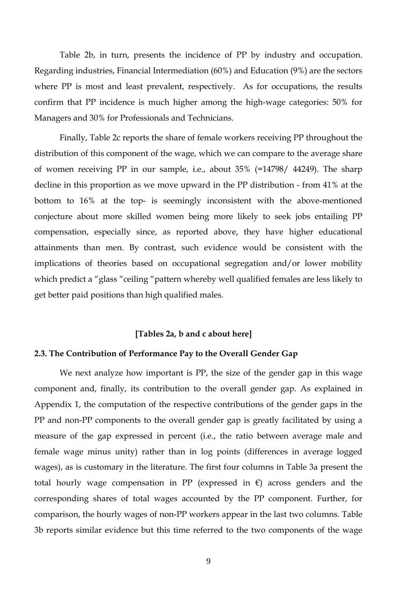Table 2b, in turn, presents the incidence of PP by industry and occupation. Regarding industries, Financial Intermediation (60%) and Education (9%) are the sectors where PP is most and least prevalent, respectively. As for occupations, the results confirm that PP incidence is much higher among the high-wage categories: 50% for Managers and 30% for Professionals and Technicians.

Finally, Table 2c reports the share of female workers receiving PP throughout the distribution of this component of the wage, which we can compare to the average share of women receiving PP in our sample, i.e., about 35% (=14798/ 44249). The sharp decline in this proportion as we move upward in the PP distribution - from 41% at the bottom to 16% at the top- is seemingly inconsistent with the above-mentioned conjecture about more skilled women being more likely to seek jobs entailing PP compensation, especially since, as reported above, they have higher educational attainments than men. By contrast, such evidence would be consistent with the implications of theories based on occupational segregation and/or lower mobility which predict a "glass "ceiling "pattern whereby well qualified females are less likely to get better paid positions than high qualified males.

#### **[Tables 2a, b and c about here]**

#### **2.3. The Contribution of Performance Pay to the Overall Gender Gap**

We next analyze how important is PP, the size of the gender gap in this wage component and, finally, its contribution to the overall gender gap. As explained in Appendix 1, the computation of the respective contributions of the gender gaps in the PP and non-PP components to the overall gender gap is greatly facilitated by using a measure of the gap expressed in percent (i.e., the ratio between average male and female wage minus unity) rather than in log points (differences in average logged wages), as is customary in the literature. The first four columns in Table 3a present the total hourly wage compensation in PP (expressed in  $\epsilon$ ) across genders and the corresponding shares of total wages accounted by the PP component. Further, for comparison, the hourly wages of non-PP workers appear in the last two columns. Table 3b reports similar evidence but this time referred to the two components of the wage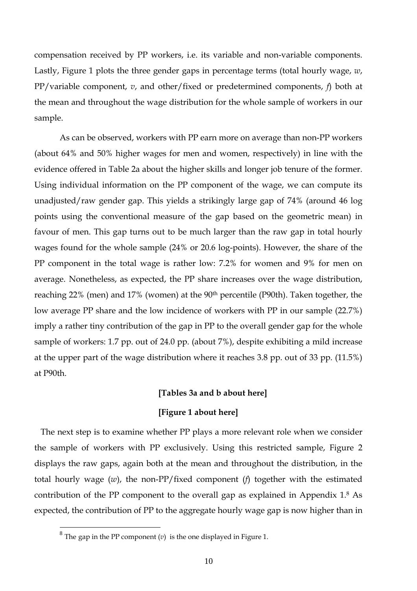compensation received by PP workers, i.e. its variable and non-variable components. Lastly, Figure 1 plots the three gender gaps in percentage terms (total hourly wage, *w*, PP/variable component, *v*, and other/fixed or predetermined components, *f*) both at the mean and throughout the wage distribution for the whole sample of workers in our sample.

As can be observed, workers with PP earn more on average than non-PP workers (about 64% and 50% higher wages for men and women, respectively) in line with the evidence offered in Table 2a about the higher skills and longer job tenure of the former. Using individual information on the PP component of the wage, we can compute its unadjusted/raw gender gap. This yields a strikingly large gap of 74% (around 46 log points using the conventional measure of the gap based on the geometric mean) in favour of men. This gap turns out to be much larger than the raw gap in total hourly wages found for the whole sample (24% or 20.6 log-points). However, the share of the PP component in the total wage is rather low: 7.2% for women and 9% for men on average. Nonetheless, as expected, the PP share increases over the wage distribution, reaching 22% (men) and 17% (women) at the 90<sup>th</sup> percentile (P90th). Taken together, the low average PP share and the low incidence of workers with PP in our sample (22.7%) imply a rather tiny contribution of the gap in PP to the overall gender gap for the whole sample of workers: 1.7 pp. out of 24.0 pp. (about 7%), despite exhibiting a mild increase at the upper part of the wage distribution where it reaches 3.8 pp. out of 33 pp. (11.5%) at P90th.

#### **[Tables 3a and b about here]**

#### **[Figure 1 about here]**

 The next step is to examine whether PP plays a more relevant role when we consider the sample of workers with PP exclusively. Using this restricted sample, Figure 2 displays the raw gaps, again both at the mean and throughout the distribution, in the total hourly wage (*w*), the non-PP/fixed component (*f*) together with the estimated contribution of the PP component to the overall gap as explained in Appendix 1.8 As expected, the contribution of PP to the aggregate hourly wage gap is now higher than in

 $\overline{a}$ 

The gap in the PP component  $(v)$  is the one displayed in Figure 1.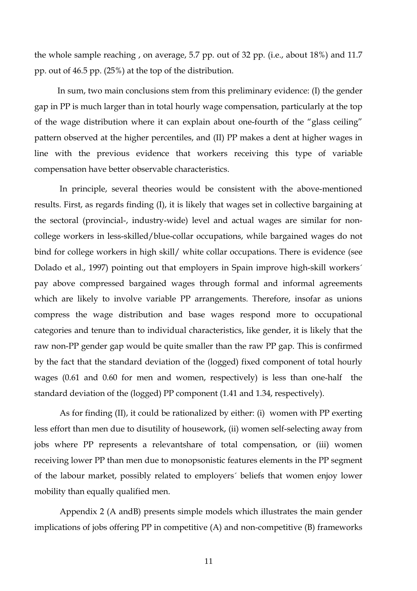the whole sample reaching , on average, 5.7 pp. out of 32 pp. (i.e., about 18%) and 11.7 pp. out of 46.5 pp. (25%) at the top of the distribution.

 In sum, two main conclusions stem from this preliminary evidence: (I) the gender gap in PP is much larger than in total hourly wage compensation, particularly at the top of the wage distribution where it can explain about one-fourth of the "glass ceiling" pattern observed at the higher percentiles, and (II) PP makes a dent at higher wages in line with the previous evidence that workers receiving this type of variable compensation have better observable characteristics.

In principle, several theories would be consistent with the above-mentioned results. First, as regards finding (I), it is likely that wages set in collective bargaining at the sectoral (provincial-, industry-wide) level and actual wages are similar for noncollege workers in less-skilled/blue-collar occupations, while bargained wages do not bind for college workers in high skill/ white collar occupations. There is evidence (see Dolado et al., 1997) pointing out that employers in Spain improve high-skill workers´ pay above compressed bargained wages through formal and informal agreements which are likely to involve variable PP arrangements. Therefore, insofar as unions compress the wage distribution and base wages respond more to occupational categories and tenure than to individual characteristics, like gender, it is likely that the raw non-PP gender gap would be quite smaller than the raw PP gap. This is confirmed by the fact that the standard deviation of the (logged) fixed component of total hourly wages (0.61 and 0.60 for men and women, respectively) is less than one-half the standard deviation of the (logged) PP component (1.41 and 1.34, respectively).

As for finding (II), it could be rationalized by either: (i) women with PP exerting less effort than men due to disutility of housework, (ii) women self-selecting away from jobs where PP represents a relevantshare of total compensation, or (iii) women receiving lower PP than men due to monopsonistic features elements in the PP segment of the labour market, possibly related to employers´ beliefs that women enjoy lower mobility than equally qualified men.

Appendix 2 (A andB) presents simple models which illustrates the main gender implications of jobs offering PP in competitive (A) and non-competitive (B) frameworks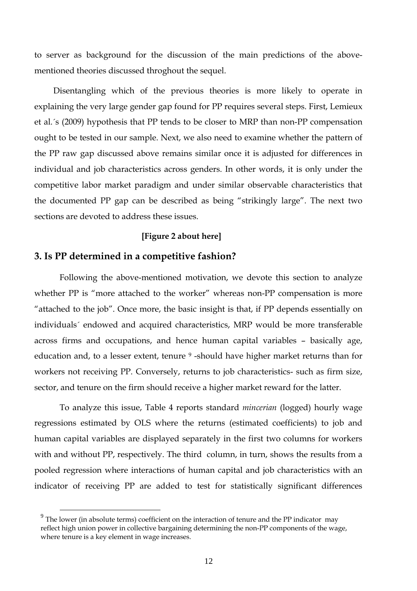to server as background for the discussion of the main predictions of the abovementioned theories discussed throghout the sequel.

 Disentangling which of the previous theories is more likely to operate in explaining the very large gender gap found for PP requires several steps. First, Lemieux et al.´s (2009) hypothesis that PP tends to be closer to MRP than non-PP compensation ought to be tested in our sample. Next, we also need to examine whether the pattern of the PP raw gap discussed above remains similar once it is adjusted for differences in individual and job characteristics across genders. In other words, it is only under the competitive labor market paradigm and under similar observable characteristics that the documented PP gap can be described as being "strikingly large". The next two sections are devoted to address these issues.

#### **[Figure 2 about here]**

#### **3. Is PP determined in a competitive fashion?**

Following the above-mentioned motivation, we devote this section to analyze whether PP is "more attached to the worker" whereas non-PP compensation is more "attached to the job". Once more, the basic insight is that, if PP depends essentially on individuals´ endowed and acquired characteristics, MRP would be more transferable across firms and occupations, and hence human capital variables – basically age, education and, to a lesser extent, tenure <sup>9</sup>-should have higher market returns than for workers not receiving PP. Conversely, returns to job characteristics- such as firm size, sector, and tenure on the firm should receive a higher market reward for the latter.

To analyze this issue, Table 4 reports standard *mincerian* (logged) hourly wage regressions estimated by OLS where the returns (estimated coefficients) to job and human capital variables are displayed separately in the first two columns for workers with and without PP, respectively. The third column, in turn, shows the results from a pooled regression where interactions of human capital and job characteristics with an indicator of receiving PP are added to test for statistically significant differences

 $9<sup>9</sup>$  The lower (in absolute terms) coefficient on the interaction of tenure and the PP indicator may reflect high union power in collective bargaining determining the non-PP components of the wage, where tenure is a key element in wage increases.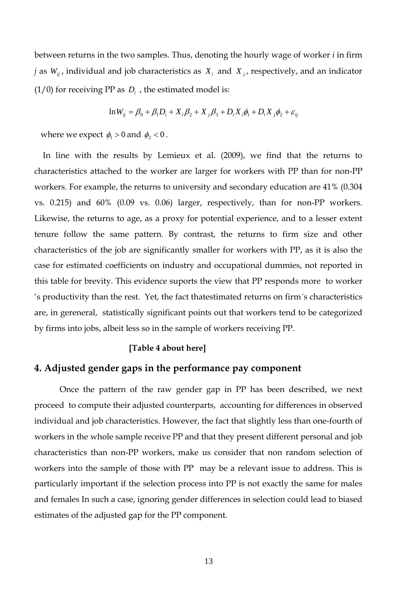between returns in the two samples. Thus, denoting the hourly wage of worker *i* in firm *j* as  $W_{ij}$ , individual and job characteristics as  $X_i$  and  $X_j$ , respectively, and an indicator  $(1/0)$  for receiving PP as  $D<sub>i</sub>$ , the estimated model is:

$$
\ln W_{ij} = \beta_0 + \beta_1 D_i + X_i \beta_2 + X_j \beta_3 + D_i X_i \phi_1 + D_i X_j \phi_2 + \varepsilon_{ij}
$$

where we expect  $\phi_1 > 0$  and  $\phi_2 < 0$ .

 In line with the results by Lemieux et al. (2009), we find that the returns to characteristics attached to the worker are larger for workers with PP than for non-PP workers. For example, the returns to university and secondary education are 41% (0.304 vs. 0.215) and 60% (0.09 vs. 0.06) larger, respectively, than for non-PP workers. Likewise, the returns to age, as a proxy for potential experience, and to a lesser extent tenure follow the same pattern. By contrast, the returns to firm size and other characteristics of the job are significantly smaller for workers with PP, as it is also the case for estimated coefficients on industry and occupational dummies, not reported in this table for brevity. This evidence suports the view that PP responds more to worker 's productivity than the rest. Yet, the fact thatestimated returns on firm´s characteristics are, in gereneral, statistically significant points out that workers tend to be categorized by firms into jobs, albeit less so in the sample of workers receiving PP.

#### **[Table 4 about here]**

#### **4. Adjusted gender gaps in the performance pay component**

Once the pattern of the raw gender gap in PP has been described, we next proceed to compute their adjusted counterparts, accounting for differences in observed individual and job characteristics. However, the fact that slightly less than one-fourth of workers in the whole sample receive PP and that they present different personal and job characteristics than non-PP workers, make us consider that non random selection of workers into the sample of those with PP may be a relevant issue to address. This is particularly important if the selection process into PP is not exactly the same for males and females In such a case, ignoring gender differences in selection could lead to biased estimates of the adjusted gap for the PP component.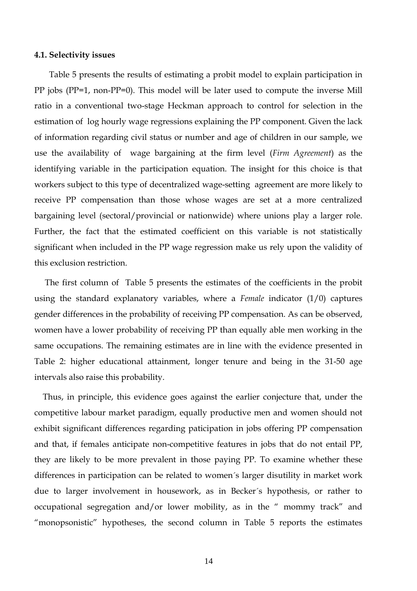#### **4.1. Selectivity issues**

 Table 5 presents the results of estimating a probit model to explain participation in PP jobs (PP=1, non-PP=0). This model will be later used to compute the inverse Mill ratio in a conventional two-stage Heckman approach to control for selection in the estimation of log hourly wage regressions explaining the PP component. Given the lack of information regarding civil status or number and age of children in our sample, we use the availability of wage bargaining at the firm level (*Firm Agreement*) as the identifying variable in the participation equation. The insight for this choice is that workers subject to this type of decentralized wage-setting agreement are more likely to receive PP compensation than those whose wages are set at a more centralized bargaining level (sectoral/provincial or nationwide) where unions play a larger role. Further, the fact that the estimated coefficient on this variable is not statistically significant when included in the PP wage regression make us rely upon the validity of this exclusion restriction.

 The first column of Table 5 presents the estimates of the coefficients in the probit using the standard explanatory variables, where a *Female* indicator (1/0) captures gender differences in the probability of receiving PP compensation. As can be observed, women have a lower probability of receiving PP than equally able men working in the same occupations. The remaining estimates are in line with the evidence presented in Table 2: higher educational attainment, longer tenure and being in the 31-50 age intervals also raise this probability.

 Thus, in principle, this evidence goes against the earlier conjecture that, under the competitive labour market paradigm, equally productive men and women should not exhibit significant differences regarding paticipation in jobs offering PP compensation and that, if females anticipate non-competitive features in jobs that do not entail PP, they are likely to be more prevalent in those paying PP. To examine whether these differences in participation can be related to women´s larger disutility in market work due to larger involvement in housework, as in Becker´s hypothesis, or rather to occupational segregation and/or lower mobility, as in the " mommy track" and "monopsonistic" hypotheses, the second column in Table 5 reports the estimates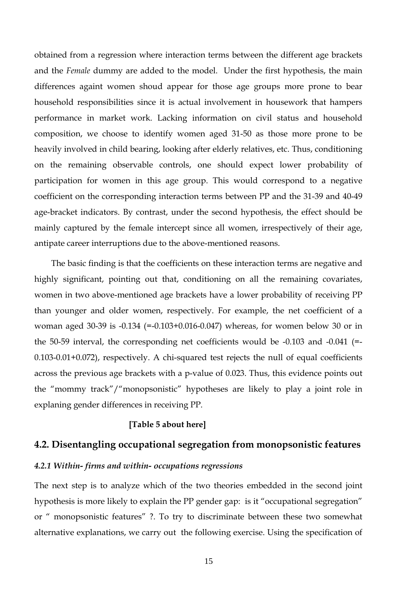obtained from a regression where interaction terms between the different age brackets and the *Female* dummy are added to the model. Under the first hypothesis, the main differences againt women shoud appear for those age groups more prone to bear household responsibilities since it is actual involvement in housework that hampers performance in market work. Lacking information on civil status and household composition, we choose to identify women aged 31-50 as those more prone to be heavily involved in child bearing, looking after elderly relatives, etc. Thus, conditioning on the remaining observable controls, one should expect lower probability of participation for women in this age group. This would correspond to a negative coefficient on the corresponding interaction terms between PP and the 31-39 and 40-49 age-bracket indicators. By contrast, under the second hypothesis, the effect should be mainly captured by the female intercept since all women, irrespectively of their age, antipate career interruptions due to the above-mentioned reasons.

 The basic finding is that the coefficients on these interaction terms are negative and highly significant, pointing out that, conditioning on all the remaining covariates, women in two above-mentioned age brackets have a lower probability of receiving PP than younger and older women, respectively. For example, the net coefficient of a woman aged 30-39 is -0.134 (=-0.103+0.016-0.047) whereas, for women below 30 or in the 50-59 interval, the corresponding net coefficients would be -0.103 and -0.041 (=- 0.103-0.01+0.072), respectively. A chi-squared test rejects the null of equal coefficients across the previous age brackets with a p-value of 0.023. Thus, this evidence points out the "mommy track"/"monopsonistic" hypotheses are likely to play a joint role in explaning gender differences in receiving PP.

#### **[Table 5 about here]**

#### **4.2. Disentangling occupational segregation from monopsonistic features**

#### *4.2.1 Within- firms and within- occupations regressions*

The next step is to analyze which of the two theories embedded in the second joint hypothesis is more likely to explain the PP gender gap: is it "occupational segregation" or " monopsonistic features" ?. To try to discriminate between these two somewhat alternative explanations, we carry out the following exercise. Using the specification of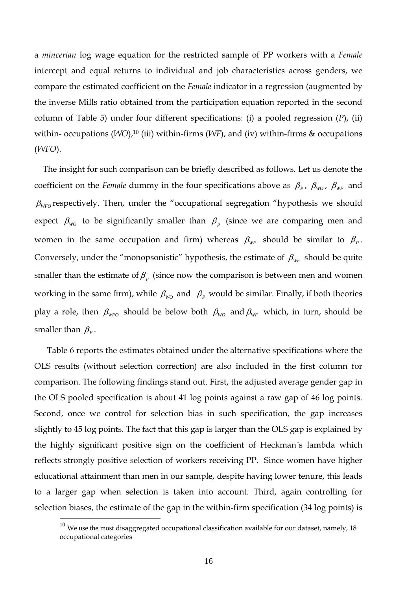a *mincerian* log wage equation for the restricted sample of PP workers with a *Female* intercept and equal returns to individual and job characteristics across genders, we compare the estimated coefficient on the *Female* indicator in a regression (augmented by the inverse Mills ratio obtained from the participation equation reported in the second column of Table 5) under four different specifications: (i) a pooled regression (*P*), (ii) within- occupations (*WO*),<sup>10</sup> (iii) within-firms (*WF*), and (iv) within-firms & occupations (*WFO*).

 The insight for such comparison can be briefly described as follows. Let us denote the coefficient on the *Female* dummy in the four specifications above as  $\beta_P$ ,  $\beta_{WO}$ ,  $\beta_{WF}$  and  $β<sub>WFO</sub>$  respectively. Then, under the "occupational segregation "hypothesis we should expect  $\beta_{\text{wo}}$  to be significantly smaller than  $\beta_{p}$  (since we are comparing men and women in the same occupation and firm) whereas  $\beta_{WF}$  should be similar to  $\beta_{P}$ . Conversely, under the "monopsonistic" hypothesis, the estimate of  $\beta_{WF}$  should be quite smaller than the estimate of  $\beta_{p}$  (since now the comparison is between men and women working in the same firm), while  $\beta_{wo}$  and  $\beta_{p}$  would be similar. Finally, if both theories play a role, then  $\beta_{wF0}$  should be below both  $\beta_{w0}$  and  $\beta_{wF}$  which, in turn, should be smaller than  $\beta_{P}$ .

 Table 6 reports the estimates obtained under the alternative specifications where the OLS results (without selection correction) are also included in the first column for comparison. The following findings stand out. First, the adjusted average gender gap in the OLS pooled specification is about 41 log points against a raw gap of 46 log points. Second, once we control for selection bias in such specification, the gap increases slightly to 45 log points. The fact that this gap is larger than the OLS gap is explained by the highly significant positive sign on the coefficient of Heckman´s lambda which reflects strongly positive selection of workers receiving PP. Since women have higher educational attainment than men in our sample, despite having lower tenure, this leads to a larger gap when selection is taken into account. Third, again controlling for selection biases, the estimate of the gap in the within-firm specification (34 log points) is

 $\overline{a}$ 

 $^{10}$  We use the most disaggregated occupational classification available for our dataset, namely, 18 occupational categories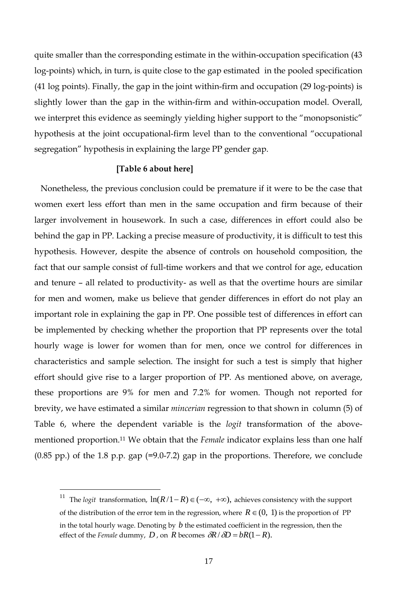quite smaller than the corresponding estimate in the within-occupation specification (43 log-points) which, in turn, is quite close to the gap estimated in the pooled specification (41 log points). Finally, the gap in the joint within-firm and occupation (29 log-points) is slightly lower than the gap in the within-firm and within-occupation model. Overall, we interpret this evidence as seemingly yielding higher support to the "monopsonistic" hypothesis at the joint occupational-firm level than to the conventional "occupational segregation" hypothesis in explaining the large PP gender gap.

#### **[Table 6 about here]**

 Nonetheless, the previous conclusion could be premature if it were to be the case that women exert less effort than men in the same occupation and firm because of their larger involvement in housework. In such a case, differences in effort could also be behind the gap in PP. Lacking a precise measure of productivity, it is difficult to test this hypothesis. However, despite the absence of controls on household composition, the fact that our sample consist of full-time workers and that we control for age, education and tenure – all related to productivity- as well as that the overtime hours are similar for men and women, make us believe that gender differences in effort do not play an important role in explaining the gap in PP. One possible test of differences in effort can be implemented by checking whether the proportion that PP represents over the total hourly wage is lower for women than for men, once we control for differences in characteristics and sample selection. The insight for such a test is simply that higher effort should give rise to a larger proportion of PP. As mentioned above, on average, these proportions are 9% for men and 7.2% for women. Though not reported for brevity, we have estimated a similar *mincerian* regression to that shown in column (5) of Table 6, where the dependent variable is the *logit* transformation of the abovementioned proportion.11 We obtain that the *Female* indicator explains less than one half  $(0.85 \text{ pp.})$  of the 1.8 p.p. gap  $(=9.0-7.2)$  gap in the proportions. Therefore, we conclude

 $\overline{a}$ 

<sup>&</sup>lt;sup>11</sup> The *logit* transformation,  $\ln(R/1-R) \in (-\infty, +\infty)$ , achieves consistency with the support of the distribution of the error tem in the regression, where  $R \in (0, 1)$  is the proportion of PP in the total hourly wage. Denoting by *b* the estimated coefficient in the regression, then the effect of the *Female* dummy, *D*, on *R* becomes  $\partial R / \partial D = bR(1 - R)$ .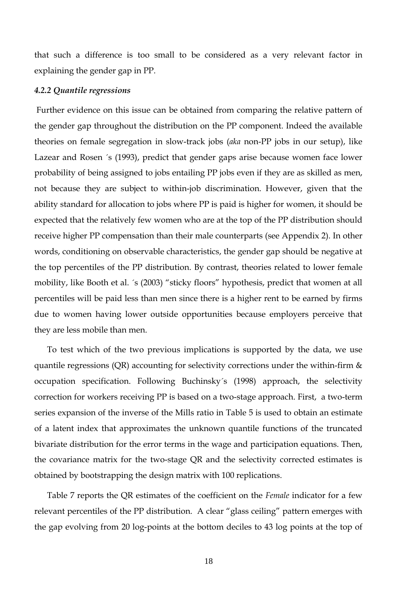that such a difference is too small to be considered as a very relevant factor in explaining the gender gap in PP.

#### *4.2.2 Quantile regressions*

 Further evidence on this issue can be obtained from comparing the relative pattern of the gender gap throughout the distribution on the PP component. Indeed the available theories on female segregation in slow-track jobs (*aka* non-PP jobs in our setup), like Lazear and Rosen ´s (1993), predict that gender gaps arise because women face lower probability of being assigned to jobs entailing PP jobs even if they are as skilled as men, not because they are subject to within-job discrimination. However, given that the ability standard for allocation to jobs where PP is paid is higher for women, it should be expected that the relatively few women who are at the top of the PP distribution should receive higher PP compensation than their male counterparts (see Appendix 2). In other words, conditioning on observable characteristics, the gender gap should be negative at the top percentiles of the PP distribution. By contrast, theories related to lower female mobility, like Booth et al. ´s (2003) "sticky floors" hypothesis, predict that women at all percentiles will be paid less than men since there is a higher rent to be earned by firms due to women having lower outside opportunities because employers perceive that they are less mobile than men.

 To test which of the two previous implications is supported by the data, we use quantile regressions (QR) accounting for selectivity corrections under the within-firm & occupation specification. Following Buchinsky´s (1998) approach, the selectivity correction for workers receiving PP is based on a two-stage approach. First, a two-term series expansion of the inverse of the Mills ratio in Table 5 is used to obtain an estimate of a latent index that approximates the unknown quantile functions of the truncated bivariate distribution for the error terms in the wage and participation equations. Then, the covariance matrix for the two-stage QR and the selectivity corrected estimates is obtained by bootstrapping the design matrix with 100 replications.

 Table 7 reports the QR estimates of the coefficient on the *Female* indicator for a few relevant percentiles of the PP distribution. A clear "glass ceiling" pattern emerges with the gap evolving from 20 log-points at the bottom deciles to 43 log points at the top of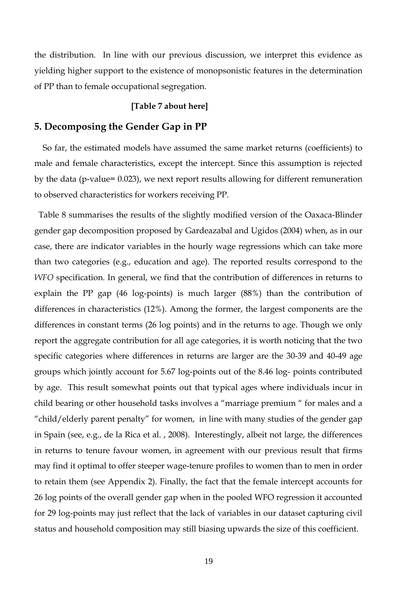the distribution. In line with our previous discussion, we interpret this evidence as yielding higher support to the existence of monopsonistic features in the determination of PP than to female occupational segregation.

#### **[Table 7 about here]**

#### **5. Decomposing the Gender Gap in PP**

 So far, the estimated models have assumed the same market returns (coefficients) to male and female characteristics, except the intercept. Since this assumption is rejected by the data (p-value= 0.023), we next report results allowing for different remuneration to observed characteristics for workers receiving PP.

 Table 8 summarises the results of the slightly modified version of the Oaxaca-Blinder gender gap decomposition proposed by Gardeazabal and Ugidos (2004) when, as in our case, there are indicator variables in the hourly wage regressions which can take more than two categories (e.g., education and age). The reported results correspond to the *WFO* specification. In general, we find that the contribution of differences in returns to explain the PP gap (46 log-points) is much larger (88%) than the contribution of differences in characteristics (12%). Among the former, the largest components are the differences in constant terms (26 log points) and in the returns to age. Though we only report the aggregate contribution for all age categories, it is worth noticing that the two specific categories where differences in returns are larger are the 30-39 and 40-49 age groups which jointly account for 5.67 log-points out of the 8.46 log- points contributed by age. This result somewhat points out that typical ages where individuals incur in child bearing or other household tasks involves a "marriage premium " for males and a "child/elderly parent penalty" for women, in line with many studies of the gender gap in Spain (see, e.g., de la Rica et al. , 2008). Interestingly, albeit not large, the differences in returns to tenure favour women, in agreement with our previous result that firms may find it optimal to offer steeper wage-tenure profiles to women than to men in order to retain them (see Appendix 2). Finally, the fact that the female intercept accounts for 26 log points of the overall gender gap when in the pooled WFO regression it accounted for 29 log-points may just reflect that the lack of variables in our dataset capturing civil status and household composition may still biasing upwards the size of this coefficient.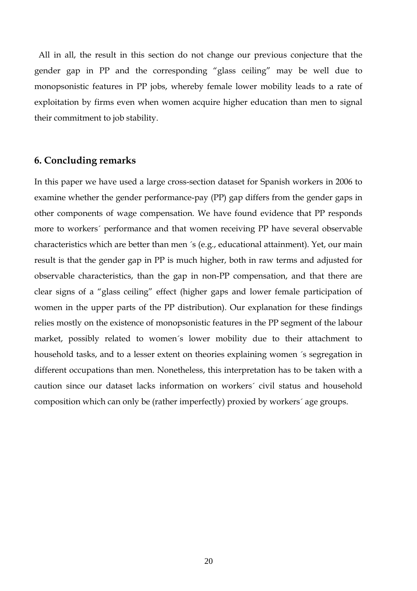All in all, the result in this section do not change our previous conjecture that the gender gap in PP and the corresponding "glass ceiling" may be well due to monopsonistic features in PP jobs, whereby female lower mobility leads to a rate of exploitation by firms even when women acquire higher education than men to signal their commitment to job stability.

## **6. Concluding remarks**

In this paper we have used a large cross-section dataset for Spanish workers in 2006 to examine whether the gender performance-pay (PP) gap differs from the gender gaps in other components of wage compensation. We have found evidence that PP responds more to workers´ performance and that women receiving PP have several observable characteristics which are better than men ´s (e.g., educational attainment). Yet, our main result is that the gender gap in PP is much higher, both in raw terms and adjusted for observable characteristics, than the gap in non-PP compensation, and that there are clear signs of a "glass ceiling" effect (higher gaps and lower female participation of women in the upper parts of the PP distribution). Our explanation for these findings relies mostly on the existence of monopsonistic features in the PP segment of the labour market, possibly related to women´s lower mobility due to their attachment to household tasks, and to a lesser extent on theories explaining women ´s segregation in different occupations than men. Nonetheless, this interpretation has to be taken with a caution since our dataset lacks information on workers´ civil status and household composition which can only be (rather imperfectly) proxied by workers´ age groups.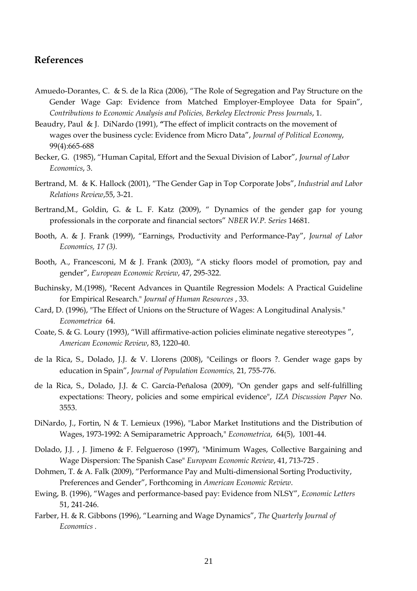# **References**

- Amuedo-Dorantes, C. & S. de la Rica (2006), "The Role of Segregation and Pay Structure on the Gender Wage Gap: Evidence from Matched Employer-Employee Data for Spain", *Contributions to Economic Analysis and Policies, Berkeley Electronic Press Journals*, 1.
- Beaudry, Paul & J. DiNardo (1991), **"**The effect of implicit contracts on the movement of wages over the business cycle: Evidence from Micro Data", *Journal of Political Economy*, 99(4):665-688
- Becker, G. (1985), "Human Capital, Effort and the Sexual Division of Labor", *Journal of Labor Economics*, 3.
- Bertrand, M. & K. Hallock (2001), "The Gender Gap in Top Corporate Jobs", *Industrial and Labor Relations Review*,55, 3-21.
- Bertrand,M., Goldin, G. & L. F. Katz (2009), " Dynamics of the gender gap for young professionals in the corporate and financial sectors" *NBER W.P. Series* 14681.
- Booth, A. & J. Frank (1999), "Earnings, Productivity and Performance-Pay", *Journal of Labor Economics, 17 (3).*
- Booth, A., Francesconi, M & J. Frank (2003), "A sticky floors model of promotion, pay and gender", *European Economic Review*, 47, 295-322.
- Buchinsky, M.(1998), "Recent Advances in Quantile Regression Models: A Practical Guideline for Empirical Research." *Journal of Human Resources* , 33.
- Card, D. (1996), "The Effect of Unions on the Structure of Wages: A Longitudinal Analysis." *Econometrica* 64.
- Coate, S. & G. Loury (1993), "Will affirmative-action policies eliminate negative stereotypes ", *American Economic Review*, 83, 1220-40.
- de la Rica, S., Dolado, J.J. & V. Llorens (2008), "Ceilings or floors ?. Gender wage gaps by education in Spain", *Journal of Population Economics,* 21*,* 755-776.
- de la Rica, S., Dolado, J.J. & C. García-Peñalosa (2009), "On gender gaps and self-fulfilling expectations: Theory, policies and some empirical evidence", *IZA Discussion Paper* No. 3553.
- DiNardo, J., Fortin, N & T. Lemieux (1996), "Labor Market Institutions and the Distribution of Wages, 1973-1992: A Semiparametric Approach," *Econometrica*, 64(5), 1001-44.
- Dolado, J.J. , J. Jimeno & F. Felgueroso (1997), "Minimum Wages, Collective Bargaining and Wage Dispersion: The Spanish Case" *European Economic Review*, 41, 713-725 .
- Dohmen, T. & A. Falk (2009), "Performance Pay and Multi-dimensional Sorting Productivity, Preferences and Gender", Forthcoming in *American Economic Review*.
- Ewing, B. (1996), "Wages and performance-based pay: Evidence from NLSY", *Economic Letters* 51, 241-246.
- Farber, H. & R. Gibbons (1996), "Learning and Wage Dynamics", *The Quarterly Journal of Economics .*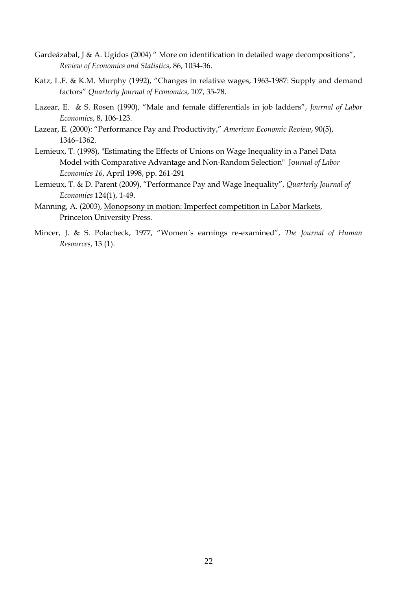- Gardeázabal, J & A. Ugidos (2004) " More on identification in detailed wage decompositions", *Review of Economics and Statistics*, 86, 1034-36.
- Katz, L.F. & K.M. Murphy (1992), "Changes in relative wages, 1963-1987: Supply and demand factors" *Quarterly Journal of Economics*, 107, 35-78.
- Lazear, E. & S. Rosen (1990), "Male and female differentials in job ladders", *Journal of Labor Economics*, 8, 106-123.
- Lazear, E. (2000): "Performance Pay and Productivity," *American Economic Review*, 90(5), 1346–1362.
- Lemieux, T. (1998), "Estimating the Effects of Unions on Wage Inequality in a Panel Data Model with Comparative Advantage and Non-Random Selection" Jo*urnal of Labor Economics 16*, April 1998, pp. 261-291
- Lemieux, T. & D. Parent (2009), "Performance Pay and Wage Inequality", *Quarterly Journal of Economics* 124(1), 1-49.
- Manning, A. (2003), Monopsony in motion: Imperfect competition in Labor Markets, Princeton University Press.
- Mincer, J. & S. Polacheck, 1977, "Women´s earnings re-examined", *The Journal of Human Resources*, 13 (1).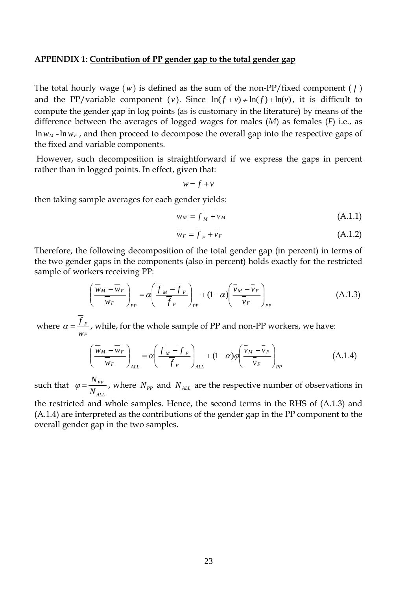#### **APPENDIX 1: Contribution of PP gender gap to the total gender gap**

The total hourly wage  $(w)$  is defined as the sum of the non-PP/fixed component  $(f)$ and the PP/variable component (*v*). Since  $ln(f + v) \neq ln(f) + ln(v)$ , it is difficult to compute the gender gap in log points (as is customary in the literature) by means of the difference between the averages of logged wages for males (*M*) as females (*F*) i.e., as  $\ln w_M$  -  $\ln w_F$ , and then proceed to decompose the overall gap into the respective gaps of the fixed and variable components.

 However, such decomposition is straightforward if we express the gaps in percent rather than in logged points. In effect, given that:

$$
w = f + v
$$

then taking sample averages for each gender yields:

$$
\overline{w}_M = \overline{f}_M + \overline{v}_M \tag{A.1.1}
$$

$$
\overline{w}_F = \overline{f}_F + \overline{v}_F \tag{A.1.2}
$$

Therefore, the following decomposition of the total gender gap (in percent) in terms of the two gender gaps in the components (also in percent) holds exactly for the restricted sample of workers receiving PP:

$$
\left(\frac{\overline{w}_M - \overline{w}_F}{\overline{w}_F}\right)_{pp} = \alpha \left(\frac{\overline{f}_M - \overline{f}_F}{\overline{f}_F}\right)_{pp} + (1 - \alpha) \left(\frac{\overline{v}_M - \overline{v}_F}{\overline{v}_F}\right)_{pp}
$$
(A.1.3)

 where *F F w*  $a = \frac{f_F}{m}$ , while, for the whole sample of PP and non-PP workers, we have:

$$
\left(\frac{\overline{w}_M - \overline{w}_F}{\overline{w}_F}\right)_{ALL} = \alpha \left(\frac{\overline{f}_M - \overline{f}_F}{\overline{f}_F}\right)_{ALL} + (1 - \alpha) \varphi \left(\frac{\overline{v}_M - \overline{v}_F}{\overline{v}_F}\right)_{PP}
$$
(A.1.4)

such that *ALL PP N*  $\varphi = \frac{N_{PP}}{N}$ , where  $N_{PP}$  and  $N_{ALL}$  are the respective number of observations in

the restricted and whole samples. Hence, the second terms in the RHS of (A.1.3) and (A.1.4) are interpreted as the contributions of the gender gap in the PP component to the overall gender gap in the two samples.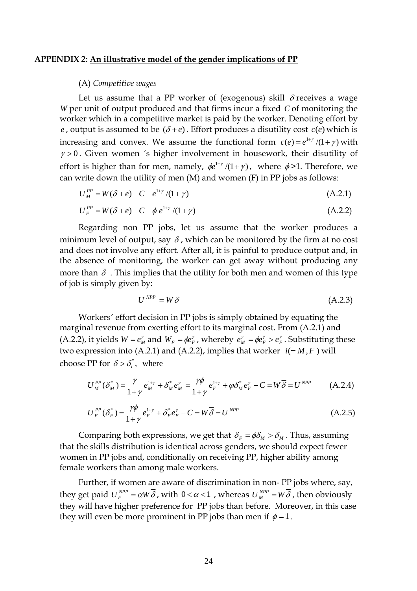#### **APPENDIX 2: An illustrative model of the gender implications of PP**

#### (A) *Competitive wages*

Let us assume that a PP worker of (exogenous) skill  $\delta$  receives a wage *W* per unit of output produced and that firms incur a fixed *C* of monitoring the worker which in a competitive market is paid by the worker. Denoting effort by *e*, output is assumed to be  $(\delta + e)$ . Effort produces a disutility cost  $c(e)$  which is increasing and convex. We assume the functional form  $c(e) = e^{1+\gamma}/(1+\gamma)$  with  $\gamma > 0$ . Given women 's higher involvement in housework, their disutility of effort is higher than for men, namely,  $\phi e^{1+\gamma}/(1+\gamma)$ , where  $\phi > 1$ . Therefore, we can write down the utility of men (M) and women (F) in PP jobs as follows:

$$
U_M^{PP} = W(\delta + e) - C - e^{1+\gamma}/(1+\gamma)
$$
 (A.2.1)

$$
U_F^{PP} = W(\delta + e) - C - \phi e^{1+\gamma}/(1+\gamma)
$$
 (A.2.2)

Regarding non PP jobs, let us assume that the worker produces a minimum level of output, say  $\overline{\delta}$ , which can be monitored by the firm at no cost and does not involve any effort. After all, it is painful to produce output and, in the absence of monitoring, the worker can get away without producing any more than  $\overline{\delta}$ . This implies that the utility for both men and women of this type of job is simply given by:

$$
U^{NPP} = W\overline{\delta} \tag{A.2.3}
$$

Workers´ effort decision in PP jobs is simply obtained by equating the marginal revenue from exerting effort to its marginal cost. From (A.2.1) and (A.2.2), it yields  $W = e_M^{\gamma}$  and  $W_F = \phi e_F^{\gamma}$ , whereby  $e_M^{\gamma} = \phi e_F^{\gamma} > e_F^{\gamma}$ . Substituting these two expression into (A.2.1) and (A.2.2), implies that worker  $i(=M, F)$  will choose PP for  $\delta > \delta_i^*$ , where

$$
U_M^{PP}(\delta_M^*) = \frac{\gamma}{1+\gamma} e_M^{1+\gamma} + \delta_M^* e_M^{\gamma} = \frac{\gamma \phi}{1+\gamma} e_H^{1+\gamma} + \varphi \delta_M^* e_F^{\gamma} - C = W \overline{\delta} = U^{NPP}
$$
 (A.2.4)

$$
U_{F}^{PP}(\delta_{F}^{*}) = \frac{\gamma \phi}{1 + \gamma} e_{F}^{1 + \gamma} + \delta_{F}^{*} e_{F}^{\gamma} - C = W \overline{\delta} = U^{NPP}
$$
 (A.2.5)

Comparing both expressions, we get that  $\delta_F = \phi \delta_M > \delta_M$ . Thus, assuming that the skills distribution is identical across genders, we should expect fewer women in PP jobs and, conditionally on receiving PP, higher ability among female workers than among male workers.

Further, if women are aware of discrimination in non- PP jobs where, say, they get paid  $U_F^{NPP} = \alpha W \overline{\delta}$ , with  $0 < \alpha < 1$ , whereas  $U_M^{NPP} = W \overline{\delta}$ , then obviously they will have higher preference for PP jobs than before. Moreover, in this case they will even be more prominent in PP jobs than men if  $\phi = 1$ .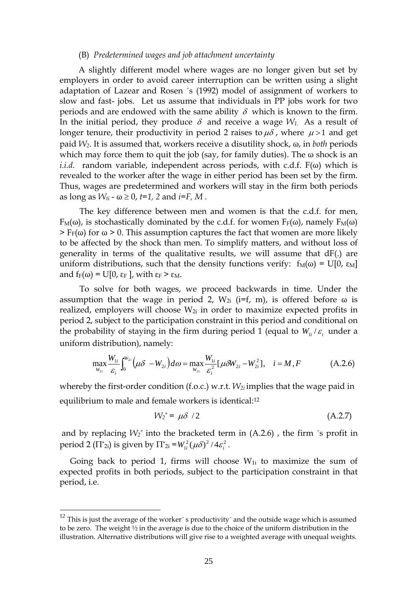#### (B) *Predetermined wages and job attachment uncertainty*

A slightly different model where wages are no longer given but set by employers in order to avoid career interruption can be written using a slight adaptation of Lazear and Rosen ´s (1992) model of assignment of workers to slow and fast- jobs. Let us assume that individuals in PP jobs work for two periods and are endowed with the same ability  $\delta$  which is known to the firm. In the initial period, they produce  $\delta$  and receive a wage  $W_1$ . As a result of longer tenure, their productivity in period 2 raises to  $\mu\delta$ , where  $\mu > 1$  and get paid *W2*. It is assumed that, workers receive a disutility shock, ω, in *both* periods which may force them to quit the job (say, for family duties). The  $\omega$  shock is an *i.i.d.* random variable, independent across periods, with c.d.f. F(ω) which is revealed to the worker after the wage in either period has been set by the firm. Thus, wages are predetermined and workers will stay in the firm both periods as long as  $W_{ti}$  -  $\omega \geq 0$ , *t*=1, 2 and *i*=*F*, *M*.

The key difference between men and women is that the c.d.f. for men,  $F_M(\omega)$ , is stochastically dominated by the c.d.f. for women  $F_F(\omega)$ , namely  $F_M(\omega)$  $>$  F<sub>F</sub>( $\omega$ ) for  $\omega$  > 0. This assumption captures the fact that women are more likely to be affected by the shock than men. To simplify matters, and without loss of generality in terms of the qualitative results, we will assume that dF(.) are uniform distributions, such that the density functions verify:  $f_M(\omega) = U[0, \varepsilon_M]$ and  $f_F(\omega) = U[0, \varepsilon_F]$ , with  $\varepsilon_F > \varepsilon_M$ .

To solve for both wages, we proceed backwards in time. Under the assumption that the wage in period 2,  $W_{2i}$  (i=f, m), is offered before  $\omega$  is realized, employers will choose  $W_{2i}$  in order to maximize expected profits in period 2, subject to the participation constraint in this period and conditional on the probability of staying in the firm during period 1 (equal to  $W_{ij}/\varepsilon_i$  under a uniform distribution), namely:

$$
\max_{W_{2i}} \frac{W_{1i}}{\varepsilon_i} \int_0^{W_{2i}} \left( \mu \delta - W_{2i} \right) d\omega = \max_{W_{2i}} \frac{W_{1i}}{\varepsilon_i^2} [\mu \delta W_{2i} - W_{2i}^2], \quad i = M, F
$$
 (A.2.6)

whereby the first-order condition (f.o.c.) w.r.t. *W2i* implies that the wage paid in equilibrium to male and female workers is identical:12

$$
W_2^* = \mu \delta / 2 \tag{A.2.7}
$$

and by replacing  $W_2^*$  into the bracketed term in  $(A.2.6)$ , the firm 's profit in period 2 ( $\Pi^*$ <sub>2i</sub>) is given by  $\Pi^*$ <sub>2i</sub> = $W^2$ <sub>*ii*</sub> ( $\mu \delta$ )<sup>2</sup> /4 $\varepsilon^2$ <sub>*i*</sub>.

Going back to period 1, firms will choose  $W_{1i}$  to maximize the sum of expected profits in both periods, subject to the participation constraint in that period, i.e.

 $\overline{a}$ 

<sup>&</sup>lt;sup>12</sup> This is just the average of the worker´s productivity´ and the outside wage which is assumed to be zero. The weight  $\frac{1}{2}$  in the average is due to the choice of the uniform distribution in the illustration. Alternative distributions will give rise to a weighted average with unequal weights.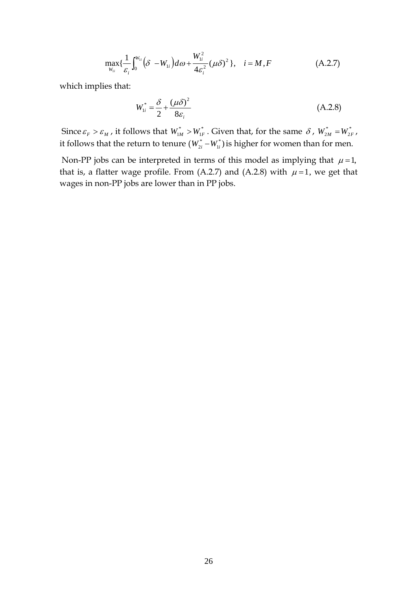$$
\max_{W_{1i}} \{\frac{1}{\varepsilon_i} \int_0^{W_{1i}} (\delta - W_{1i}) d\omega + \frac{W_{1i}^2}{4\varepsilon_i^2} (\mu \delta)^2 \}, \quad i = M, F
$$
 (A.2.7)

which implies that:

$$
W_{1i}^* = \frac{\delta}{2} + \frac{(\mu \delta)^2}{8\varepsilon_i}
$$
 (A.2.8)

Since  $\varepsilon_F > \varepsilon_M$ , it follows that  $W_{1M}^* > W_{1F}^*$ . Given that, for the same  $\delta$ ,  $W_{2M}^* = W_{2F}^*$ , it follows that the return to tenure  $(W_{2i}^* - W_{1i}^*)$  $W_{2i}^* - W_{1i}^*$ ) is higher for women than for men.

Non-PP jobs can be interpreted in terms of this model as implying that  $\mu = 1$ , that is, a flatter wage profile. From (A.2.7) and (A.2.8) with  $\mu$  =1, we get that wages in non-PP jobs are lower than in PP jobs.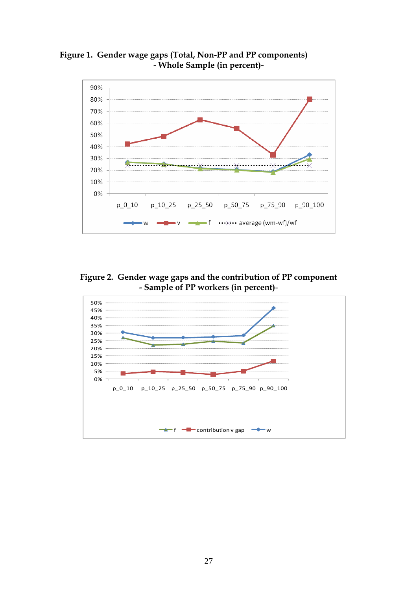



**Figure 2. Gender wage gaps and the contribution of PP component - Sample of PP workers (in percent)-** 

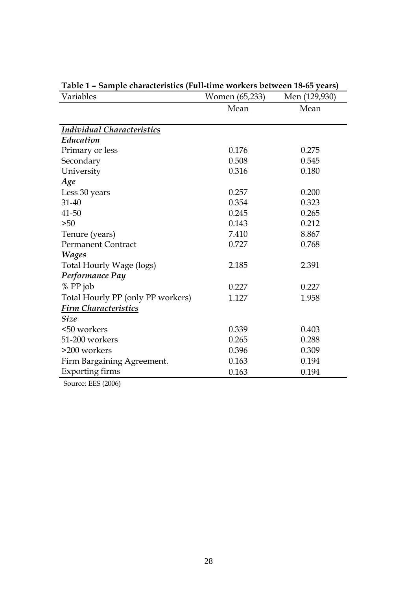| Variables                         | Women (65,233) | Men (129,930) |  |
|-----------------------------------|----------------|---------------|--|
|                                   | Mean           | Mean          |  |
|                                   |                |               |  |
| <b>Individual Characteristics</b> |                |               |  |
| Education                         |                |               |  |
| Primary or less                   | 0.176          | 0.275         |  |
| Secondary                         | 0.508          | 0.545         |  |
| University                        | 0.316          | 0.180         |  |
| Age                               |                |               |  |
| Less 30 years                     | 0.257          | 0.200         |  |
| 31-40                             | 0.354          | 0.323         |  |
| 41-50                             | 0.245          | 0.265         |  |
| $>50$                             | 0.143          | 0.212         |  |
| Tenure (years)                    | 7.410          | 8.867         |  |
| <b>Permanent Contract</b>         | 0.727          | 0.768         |  |
| <b>Wages</b>                      |                |               |  |
| Total Hourly Wage (logs)          | 2.185          | 2.391         |  |
| Performance Pay                   |                |               |  |
| % PP job                          | 0.227          | 0.227         |  |
| Total Hourly PP (only PP workers) | 1.127          | 1.958         |  |
| <b>Firm Characteristics</b>       |                |               |  |
| <b>Size</b>                       |                |               |  |
| <50 workers                       | 0.339          | 0.403         |  |
| 51-200 workers                    | 0.265          | 0.288         |  |
| >200 workers                      | 0.396          | 0.309         |  |
| Firm Bargaining Agreement.        | 0.163          | 0.194         |  |
| <b>Exporting firms</b>            | 0.163          | 0.194         |  |
|                                   |                |               |  |

**Table 1 – Sample characteristics (Full-time workers between 18-65 years)** 

Source: EES (2006)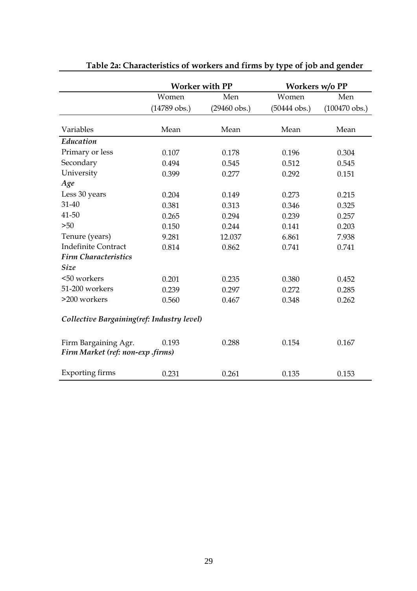|                                                           |                | <b>Worker with PP</b>  |                        | Workers w/o PP          |
|-----------------------------------------------------------|----------------|------------------------|------------------------|-------------------------|
|                                                           | Women          | Men                    | Women                  | Men                     |
|                                                           | $(14789$ obs.) | $(29460 \text{ obs.})$ | $(50444 \text{ obs.})$ | $(100470 \text{ obs.})$ |
| Variables                                                 | Mean           | Mean                   | Mean                   | Mean                    |
| Education                                                 |                |                        |                        |                         |
| Primary or less                                           | 0.107          | 0.178                  | 0.196                  | 0.304                   |
| Secondary                                                 | 0.494          | 0.545                  | 0.512                  | 0.545                   |
| University                                                | 0.399          | 0.277                  | 0.292                  | 0.151                   |
| Age                                                       |                |                        |                        |                         |
| Less 30 years                                             | 0.204          | 0.149                  | 0.273                  | 0.215                   |
| $31 - 40$                                                 | 0.381          | 0.313                  | 0.346                  | 0.325                   |
| 41-50                                                     | 0.265          | 0.294                  | 0.239                  | 0.257                   |
| $>50$                                                     | 0.150          | 0.244                  | 0.141                  | 0.203                   |
| Tenure (years)                                            | 9.281          | 12.037                 | 6.861                  | 7.938                   |
| <b>Indefinite Contract</b>                                | 0.814          | 0.862                  | 0.741                  | 0.741                   |
| <b>Firm Characteristics</b>                               |                |                        |                        |                         |
| <b>Size</b>                                               |                |                        |                        |                         |
| <50 workers                                               | 0.201          | 0.235                  | 0.380                  | 0.452                   |
| 51-200 workers                                            | 0.239          | 0.297                  | 0.272                  | 0.285                   |
| >200 workers                                              | 0.560          | 0.467                  | 0.348                  | 0.262                   |
| Collective Bargaining(ref: Industry level)                |                |                        |                        |                         |
| Firm Bargaining Agr.<br>Firm Market (ref: non-exp .firms) | 0.193          | 0.288                  | 0.154                  | 0.167                   |
| <b>Exporting firms</b>                                    | 0.231          | 0.261                  | 0.135                  | 0.153                   |

**Table 2a: Characteristics of workers and firms by type of job and gender**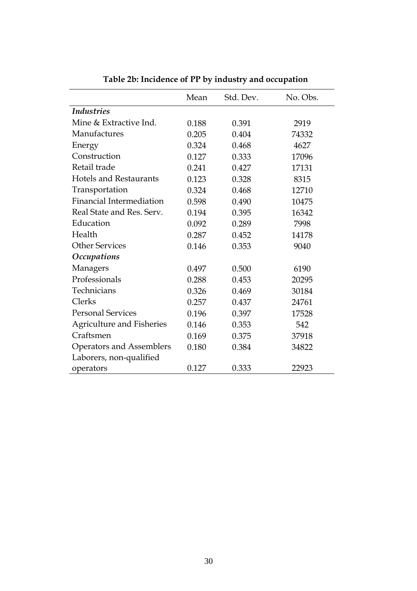|                                 | Mean  | Std. Dev. | No. Obs. |
|---------------------------------|-------|-----------|----------|
| <b>Industries</b>               |       |           |          |
| Mine & Extractive Ind.          | 0.188 | 0.391     | 2919     |
| Manufactures                    | 0.205 | 0.404     | 74332    |
| Energy                          | 0.324 | 0.468     | 4627     |
| Construction                    | 0.127 | 0.333     | 17096    |
| Retail trade                    | 0.241 | 0.427     | 17131    |
| <b>Hotels and Restaurants</b>   | 0.123 | 0.328     | 8315     |
| Transportation                  | 0.324 | 0.468     | 12710    |
| <b>Financial Intermediation</b> | 0.598 | 0.490     | 10475    |
| Real State and Res. Serv.       | 0.194 | 0.395     | 16342    |
| Education                       | 0.092 | 0.289     | 7998     |
| Health                          | 0.287 | 0.452     | 14178    |
| <b>Other Services</b>           | 0.146 | 0.353     | 9040     |
| <b>Occupations</b>              |       |           |          |
| Managers                        | 0.497 | 0.500     | 6190     |
| Professionals                   | 0.288 | 0.453     | 20295    |
| Technicians                     | 0.326 | 0.469     | 30184    |
| Clerks                          | 0.257 | 0.437     | 24761    |
| <b>Personal Services</b>        | 0.196 | 0.397     | 17528    |
| Agriculture and Fisheries       | 0.146 | 0.353     | 542      |
| Craftsmen                       | 0.169 | 0.375     | 37918    |
| Operators and Assemblers        | 0.180 | 0.384     | 34822    |
| Laborers, non-qualified         |       |           |          |
| operators                       | 0.127 | 0.333     | 22923    |

**Table 2b: Incidence of PP by industry and occupation**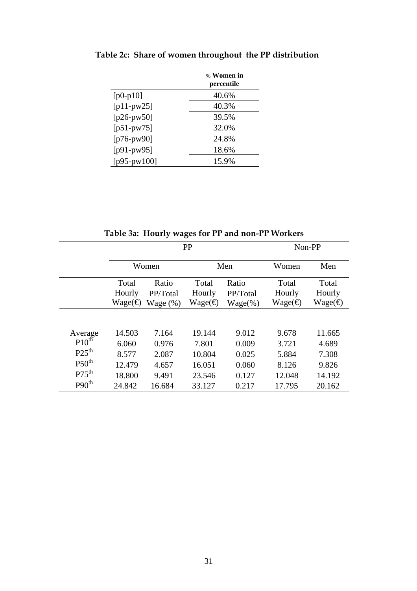|                | % Women in<br>percentile |
|----------------|--------------------------|
| $[p0-p10]$     | 40.6%                    |
| $[p11-pw25]$   | 40.3%                    |
| $[p26-pw50]$   | 39.5%                    |
| $[p51-pw75]$   | 32.0%                    |
| $[p76-pw90]$   | 24.8%                    |
| [ $p91-pw95$ ] | 18.6%                    |
| [p95-pw100]    | 15.9%                    |

 **Table 2c: Share of women throughout the PP distribution**

|                   | PP                |             |                   |            |                  | Non-PP           |
|-------------------|-------------------|-------------|-------------------|------------|------------------|------------------|
|                   |                   | Women       |                   | Men        | Women            | Men              |
|                   | Total             | Ratio       | Total             | Ratio      | Total            | Total            |
|                   | Hourly            | PP/Total    | Hourly            | PP/Total   | Hourly           | Hourly           |
|                   | Wage( $\bigoplus$ | Wage $(\%)$ | Wage( $\bigoplus$ | $Wage(\%)$ | $Wage(\bigoplus$ | $Wage(\bigoplus$ |
|                   |                   |             |                   |            |                  |                  |
| Average           | 14.503            | 7.164       | 19.144            | 9.012      | 9.678            | 11.665           |
| $P10^{th}$        | 6.060             | 0.976       | 7.801             | 0.009      | 3.721            | 4.689            |
| P25 <sup>th</sup> | 8.577             | 2.087       | 10.804            | 0.025      | 5.884            | 7.308            |
| $P50^{th}$        | 12.479            | 4.657       | 16.051            | 0.060      | 8.126            | 9.826            |
| $P75^{th}$        | 18.800            | 9.491       | 23.546            | 0.127      | 12.048           | 14.192           |
| P90 <sup>th</sup> | 24.842            | 16.684      | 33.127            | 0.217      | 17.795           | 20.162           |

**Table 3a: Hourly wages for PP and non-PP Workers**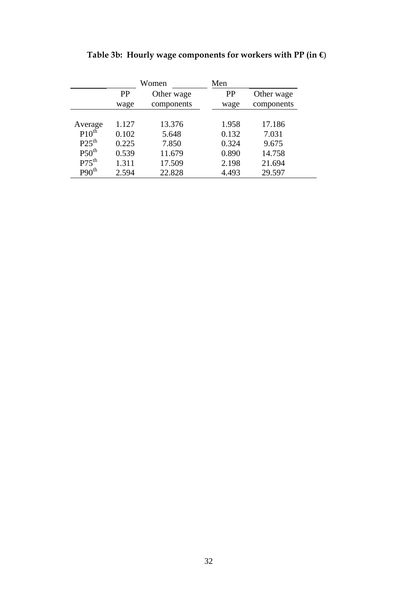|                   | Women     |            | Men       |            |
|-------------------|-----------|------------|-----------|------------|
|                   | <b>PP</b> | Other wage | <b>PP</b> | Other wage |
|                   | wage      | components | wage      | components |
|                   |           |            |           |            |
| Average           | 1.127     | 13.376     | 1.958     | 17.186     |
| $P10^{th}$        | 0.102     | 5.648      | 0.132     | 7.031      |
| $P25^{th}$        | 0.225     | 7.850      | 0.324     | 9.675      |
| P50 <sup>th</sup> | 0.539     | 11.679     | 0.890     | 14.758     |
| $P75^{th}$        | 1.311     | 17.509     | 2.198     | 21.694     |
| P90 <sup>th</sup> | 2.594     | 22.828     | 4.493     | 29.597     |

**Table 3b: Hourly wage components for workers with PP (in €**)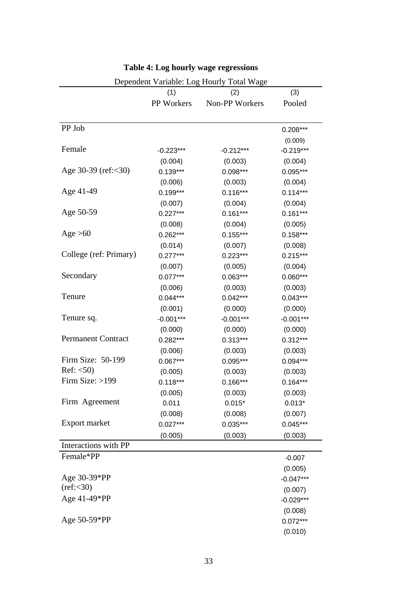|                               |                   | Dependent Variable: Log Hourly Total Wage |             |
|-------------------------------|-------------------|-------------------------------------------|-------------|
|                               | (1)               | (2)                                       | (3)         |
|                               | <b>PP</b> Workers | Non-PP Workers                            | Pooled      |
| PP Job                        |                   |                                           | $0.208***$  |
|                               |                   |                                           | (0.009)     |
| Female                        | $-0.223***$       | $-0.212***$                               | $-0.219***$ |
|                               | (0.004)           | (0.003)                                   | (0.004)     |
| Age $30-39$ (ref: $\leq 30$ ) | $0.139***$        | $0.098***$                                | $0.095***$  |
|                               | (0.006)           | (0.003)                                   | (0.004)     |
| Age 41-49                     | $0.199***$        | $0.116***$                                | $0.114***$  |
|                               | (0.007)           | (0.004)                                   | (0.004)     |
| Age 50-59                     | $0.227***$        | $0.161***$                                | $0.161***$  |
|                               | (0.008)           | (0.004)                                   | (0.005)     |
| Age $>60$                     | $0.262***$        | $0.155***$                                | $0.158***$  |
|                               | (0.014)           | (0.007)                                   | (0.008)     |
| College (ref: Primary)        | $0.277***$        | $0.223***$                                | $0.215***$  |
|                               | (0.007)           | (0.005)                                   | (0.004)     |
| Secondary                     | $0.077***$        | $0.063***$                                | $0.060***$  |
|                               | (0.006)           | (0.003)                                   | (0.003)     |
| Tenure                        | $0.044***$        | $0.042***$                                | $0.043***$  |
|                               | (0.001)           | (0.000)                                   | (0.000)     |
| Tenure sq.                    | $-0.001***$       | $-0.001***$                               | $-0.001***$ |
|                               | (0.000)           | (0.000)                                   | (0.000)     |
| <b>Permanent Contract</b>     | $0.282***$        | $0.313***$                                | $0.312***$  |
|                               | (0.006)           | (0.003)                                   | (0.003)     |
| Firm Size: 50-199             | $0.067***$        | $0.095***$                                | $0.094***$  |
| Ref: <50                      | (0.005)           | (0.003)                                   | (0.003)     |
| Firm Size: $>199$             | $0.118***$        | $0.166***$                                | $0.164***$  |
|                               | (0.005)           | (0.003)                                   | (0.003)     |
| Firm Agreement                | 0.011             | $0.015*$                                  | $0.013*$    |
|                               | (0.008)           | (0.008)                                   | (0.007)     |
| Export market                 | $0.027***$        | 0.035***                                  | $0.045***$  |
|                               | (0.005)           | (0.003)                                   | (0.003)     |
| Interactions with PP          |                   |                                           |             |
| Female*PP                     |                   |                                           | $-0.007$    |
|                               |                   |                                           | (0.005)     |
| Age 30-39*PP                  |                   |                                           | $-0.047***$ |
| (ref: <30)                    |                   |                                           | (0.007)     |
| Age 41-49*PP                  |                   |                                           | $-0.029***$ |
|                               |                   |                                           | (0.008)     |
| Age 50-59*PP                  |                   |                                           | $0.072***$  |
|                               |                   |                                           | (0.010)     |

# **Table 4: Log hourly wage regressions**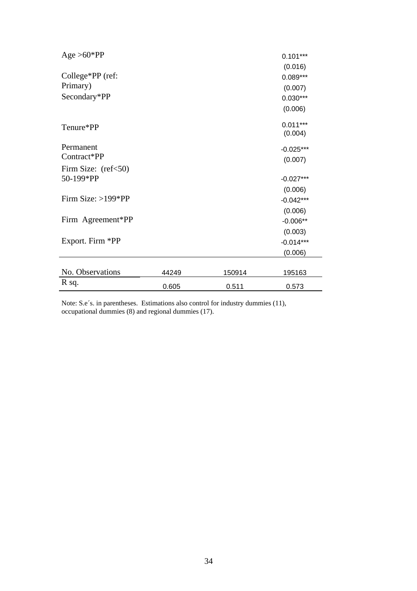| $Age > 60*PP$                |       |        | $0.101***$<br>(0.016) |
|------------------------------|-------|--------|-----------------------|
| College*PP (ref:<br>Primary) |       |        | $0.089***$<br>(0.007) |
| Secondary*PP                 |       |        | $0.030***$<br>(0.006) |
| Tenure*PP                    |       |        | $0.011***$<br>(0.004) |
| Permanent                    |       |        | $-0.025***$           |
| Contract*PP                  |       |        | (0.007)               |
| Firm Size: $(ref<50)$        |       |        |                       |
| 50-199*PP                    |       |        | $-0.027***$           |
|                              |       |        | (0.006)               |
| Firm Size: $>199*PP$         |       |        | $-0.042***$           |
|                              |       |        | (0.006)               |
| Firm Agreement*PP            |       |        | $-0.006**$            |
|                              |       |        | (0.003)               |
| Export. Firm *PP             |       |        | $-0.014***$           |
|                              |       |        | (0.006)               |
|                              |       |        |                       |
| No. Observations             | 44249 | 150914 | 195163                |
| R sq.                        | 0.605 | 0.511  | 0.573                 |

Note: S.e´s. in parentheses. Estimations also control for industry dummies (11), occupational dummies (8) and regional dummies (17).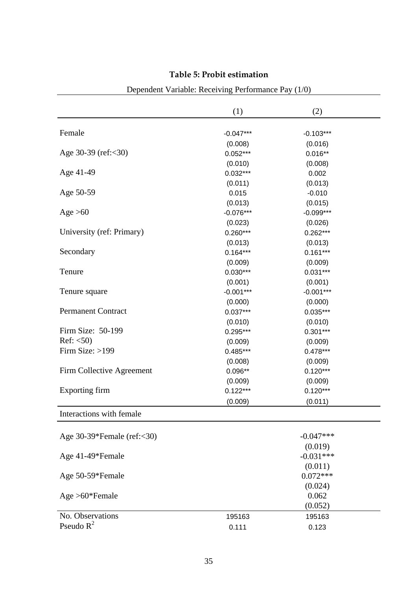|                            | (1)         | (2)         |  |
|----------------------------|-------------|-------------|--|
|                            |             |             |  |
| Female                     | $-0.047***$ | $-0.103***$ |  |
|                            | (0.008)     | (0.016)     |  |
| Age 30-39 (ref:<30)        | $0.052***$  | $0.016**$   |  |
|                            | (0.010)     | (0.008)     |  |
| Age 41-49                  | $0.032***$  | 0.002       |  |
|                            | (0.011)     | (0.013)     |  |
| Age 50-59                  | 0.015       | $-0.010$    |  |
|                            | (0.013)     | (0.015)     |  |
| Age $>60$                  | $-0.076***$ | $-0.099***$ |  |
|                            | (0.023)     | (0.026)     |  |
| University (ref: Primary)  | $0.260***$  | $0.262***$  |  |
|                            | (0.013)     | (0.013)     |  |
| Secondary                  | $0.164***$  | $0.161***$  |  |
|                            | (0.009)     | (0.009)     |  |
| Tenure                     | $0.030***$  | $0.031***$  |  |
|                            | (0.001)     | (0.001)     |  |
| Tenure square              | $-0.001***$ | $-0.001***$ |  |
|                            | (0.000)     | (0.000)     |  |
| Permanent Contract         | $0.037***$  | $0.035***$  |  |
|                            | (0.010)     | (0.010)     |  |
| Firm Size: 50-199          | $0.295***$  | $0.301***$  |  |
| Ref: $<$ 50)               | (0.009)     | (0.009)     |  |
| Firm Size: >199            | $0.485***$  | $0.478***$  |  |
|                            | (0.008)     | (0.009)     |  |
| Firm Collective Agreement  | $0.096**$   | $0.120***$  |  |
|                            | (0.009)     | (0.009)     |  |
| Exporting firm             | $0.122***$  | $0.120***$  |  |
|                            | (0.009)     | (0.011)     |  |
| Interactions with female   |             |             |  |
| Age 30-39*Female (ref:<30) |             | $-0.047***$ |  |
|                            |             | (0.019)     |  |
| Age 41-49*Female           |             | $-0.031***$ |  |
|                            |             | (0.011)     |  |
| Age 50-59*Female           |             | $0.072***$  |  |
|                            |             | (0.024)     |  |
| $Age > 60*Female$          |             | 0.062       |  |
|                            |             | (0.052)     |  |
| No. Observations           |             |             |  |
| Pseudo $R^2$               | 195163      | 195163      |  |
|                            | 0.111       | 0.123       |  |

# **Table 5: Probit estimation**

# Dependent Variable: Receiving Performance Pay (1/0)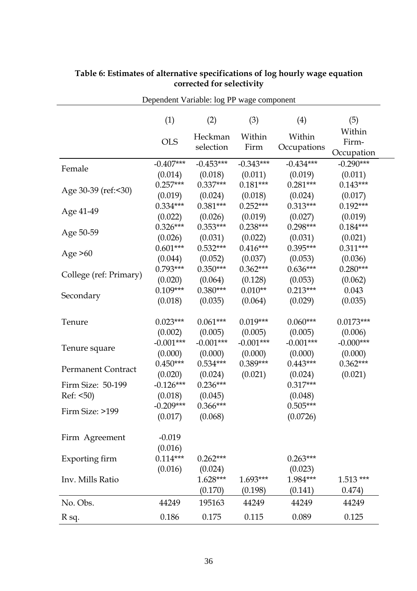| Dependent Variable: log PP wage component |                     |                      |                |                       |                               |
|-------------------------------------------|---------------------|----------------------|----------------|-----------------------|-------------------------------|
|                                           | (1)                 | (2)                  | (3)            | (4)                   | (5)                           |
|                                           | <b>OLS</b>          | Heckman<br>selection | Within<br>Firm | Within<br>Occupations | Within<br>Firm-<br>Occupation |
|                                           | $-0.407***$         | $-0.453***$          | $-0.343***$    | $-0.434***$           | $-0.290***$                   |
| Female                                    | (0.014)             | (0.018)              | (0.011)        | (0.019)               | (0.011)                       |
|                                           | $0.257***$          | $0.337***$           | $0.181***$     | $0.281***$            | $0.143***$                    |
| Age 30-39 (ref:<30)                       | (0.019)             | (0.024)              | (0.018)        | (0.024)               | (0.017)                       |
|                                           | $0.334***$          | $0.381***$           | $0.252***$     | $0.313***$            | $0.192***$                    |
| Age 41-49                                 | (0.022)             | (0.026)              | (0.019)        | (0.027)               | (0.019)                       |
|                                           | $0.326***$          | $0.353***$           | $0.238***$     | $0.298***$            | $0.184***$                    |
| Age 50-59                                 | (0.026)             | (0.031)              | (0.022)        | (0.031)               | (0.021)                       |
|                                           | $0.601***$          | $0.532***$           | $0.416***$     | $0.395***$            | $0.311***$                    |
| Age $>60$                                 | (0.044)             | (0.052)              | (0.037)        | (0.053)               | (0.036)                       |
|                                           | $0.793***$          | $0.350***$           | $0.362***$     | $0.636***$            | $0.280***$                    |
| College (ref: Primary)                    | (0.020)             | (0.064)              | (0.128)        | (0.053)               | (0.062)                       |
|                                           | $0.109***$          | $0.380***$           | $0.010**$      | $0.213***$            | 0.043                         |
| Secondary                                 | (0.018)             | (0.035)              | (0.064)        | (0.029)               | (0.035)                       |
| Tenure                                    | $0.023***$          | $0.061***$           | $0.019***$     | $0.060***$            | $0.0173***$                   |
|                                           | (0.002)             | (0.005)              | (0.005)        | (0.005)               | (0.006)                       |
|                                           | $-0.001***$         | $-0.001***$          | $-0.001***$    | $-0.001***$           | $-0.000***$                   |
| Tenure square                             | (0.000)             | (0.000)              | (0.000)        | (0.000)               | (0.000)                       |
|                                           | $0.450***$          | $0.534***$           | 0.389***       | $0.443***$            | $0.362***$                    |
| <b>Permanent Contract</b>                 | (0.020)             | (0.024)              | (0.021)        | (0.024)               | (0.021)                       |
| Firm Size: 50-199                         | $-0.126***$         | $0.236***$           |                | $0.317***$            |                               |
| Ref: <50)                                 | (0.018)             | (0.045)              |                | (0.048)               |                               |
|                                           | $-0.209***$         | $0.366***$           |                | $0.505***$            |                               |
| Firm Size: >199                           | (0.017)             | (0.068)              |                | (0.0726)              |                               |
| Firm Agreement                            | $-0.019$<br>(0.016) |                      |                |                       |                               |
| Exporting firm                            | $0.114***$          | $0.262***$           |                | $0.263***$            |                               |
|                                           | (0.016)             | (0.024)              |                | (0.023)               |                               |
| Inv. Mills Ratio                          |                     | $1.628***$           | 1.693***       | 1.984***              | $1.513***$                    |
|                                           |                     | (0.170)              | (0.198)        | (0.141)               | 0.474)                        |
| No. Obs.                                  | 44249               | 195163               | 44249          | 44249                 | 44249                         |
| R sq.                                     | 0.186               | 0.175                | 0.115          | 0.089                 | 0.125                         |

#### **Table 6: Estimates of alternative specifications of log hourly wage equation corrected for selectivity**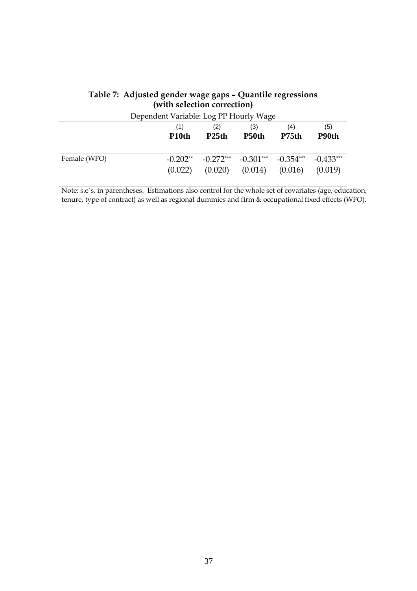|              | Dependent Variable: Log PP Hourly Wage |                    |             |                   |             |
|--------------|----------------------------------------|--------------------|-------------|-------------------|-------------|
|              | (1)                                    | (2)                | (3)         | (4)               | (5)         |
|              | P <sub>10th</sub>                      | P <sub>25</sub> th | P50th       | P <sub>75th</sub> | P90th       |
| Female (WFO) | $-0.202**$                             | $-0.272***$        | $-0.301***$ | $-0.354***$       | $-0.433***$ |
|              | (0.022)                                | (0.020)            | (0.014)     | (0.016)           | (0.019)     |

### **Table 7: Adjusted gender wage gaps – Quantile regressions (with selection correction)**

Note: s.e´s. in parentheses. Estimations also control for the whole set of covariates (age, education, tenure, type of contract) as well as regional dummies and firm & occupational fixed effects (WFO).